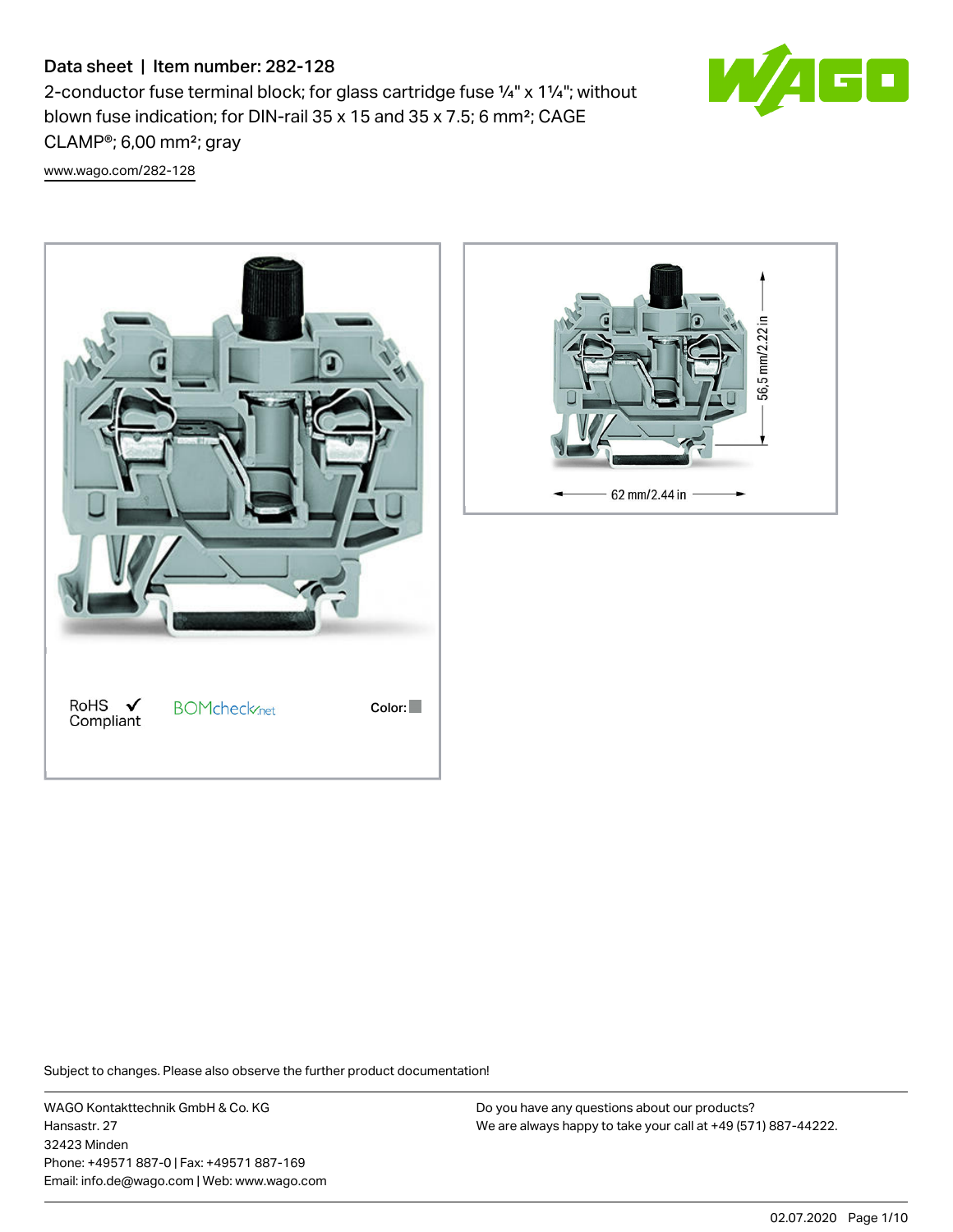# Data sheet | Item number: 282-128

2-conductor fuse terminal block; for glass cartridge fuse ¼" x 1¼"; without blown fuse indication; for DIN-rail 35 x 15 and 35 x 7.5; 6 mm²; CAGE CLAMP®; 6,00 mm²; gray

60

[www.wago.com/282-128](http://www.wago.com/282-128)





Subject to changes. Please also observe the further product documentation!

WAGO Kontakttechnik GmbH & Co. KG Hansastr. 27 32423 Minden Phone: +49571 887-0 | Fax: +49571 887-169 Email: info.de@wago.com | Web: www.wago.com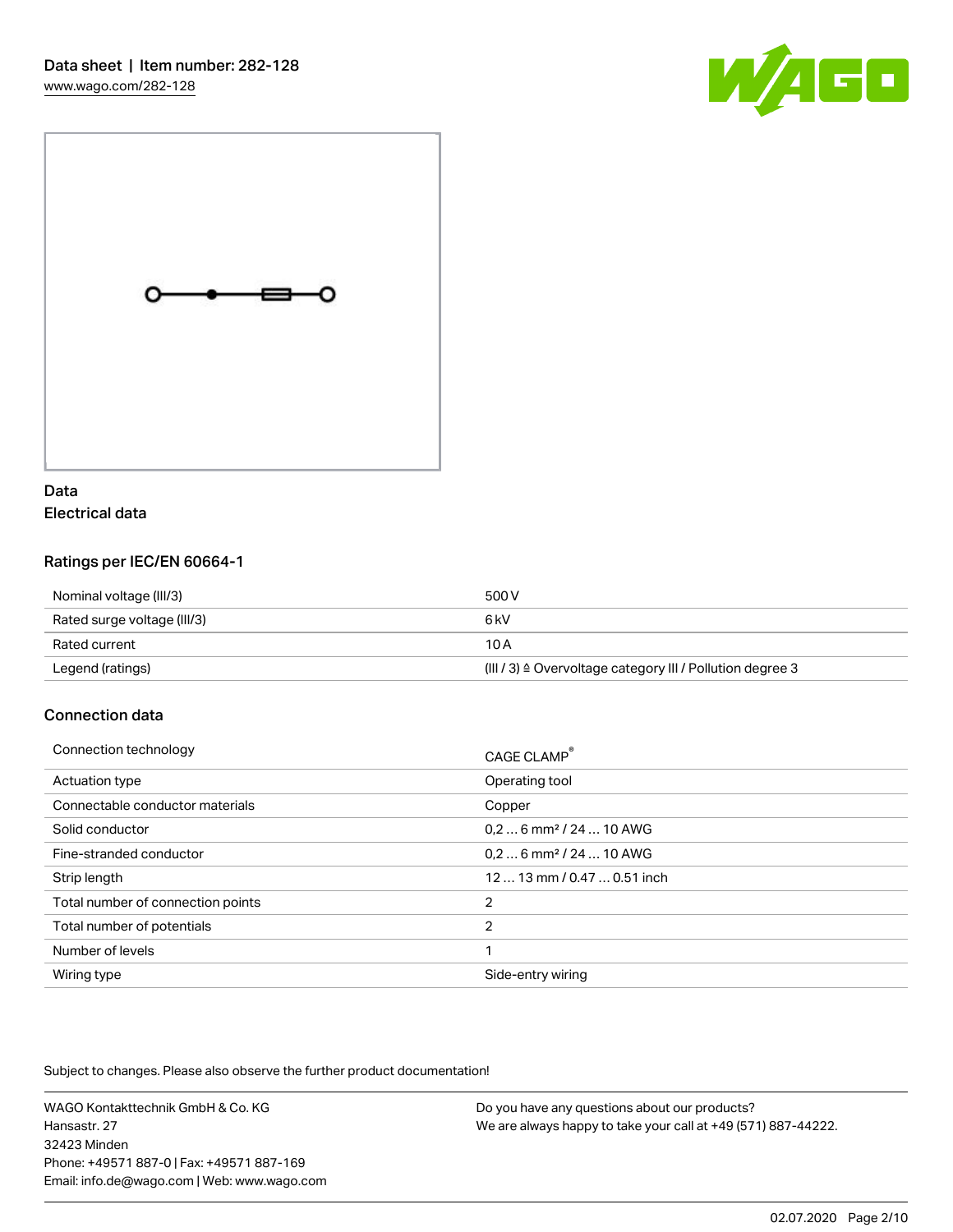



# Data Electrical data

# Ratings per IEC/EN 60664-1

| Nominal voltage (III/3)     | 500 V                                                                |
|-----------------------------|----------------------------------------------------------------------|
| Rated surge voltage (III/3) | 6 kV                                                                 |
| Rated current               | 10 A                                                                 |
| Legend (ratings)            | (III / 3) $\triangleq$ Overvoltage category III / Pollution degree 3 |

# Connection data

| Connection technology             | CAGE CLAMP <sup>®</sup>             |
|-----------------------------------|-------------------------------------|
| Actuation type                    | Operating tool                      |
| Connectable conductor materials   | Copper                              |
| Solid conductor                   | $0.26$ mm <sup>2</sup> / 24  10 AWG |
| Fine-stranded conductor           | $0.26$ mm <sup>2</sup> / 24  10 AWG |
| Strip length                      | 12  13 mm / 0.47  0.51 inch         |
| Total number of connection points | 2                                   |
| Total number of potentials        | $\overline{2}$                      |
| Number of levels                  |                                     |
| Wiring type                       | Side-entry wiring                   |

Subject to changes. Please also observe the further product documentation!

WAGO Kontakttechnik GmbH & Co. KG Hansastr. 27 32423 Minden Phone: +49571 887-0 | Fax: +49571 887-169 Email: info.de@wago.com | Web: www.wago.com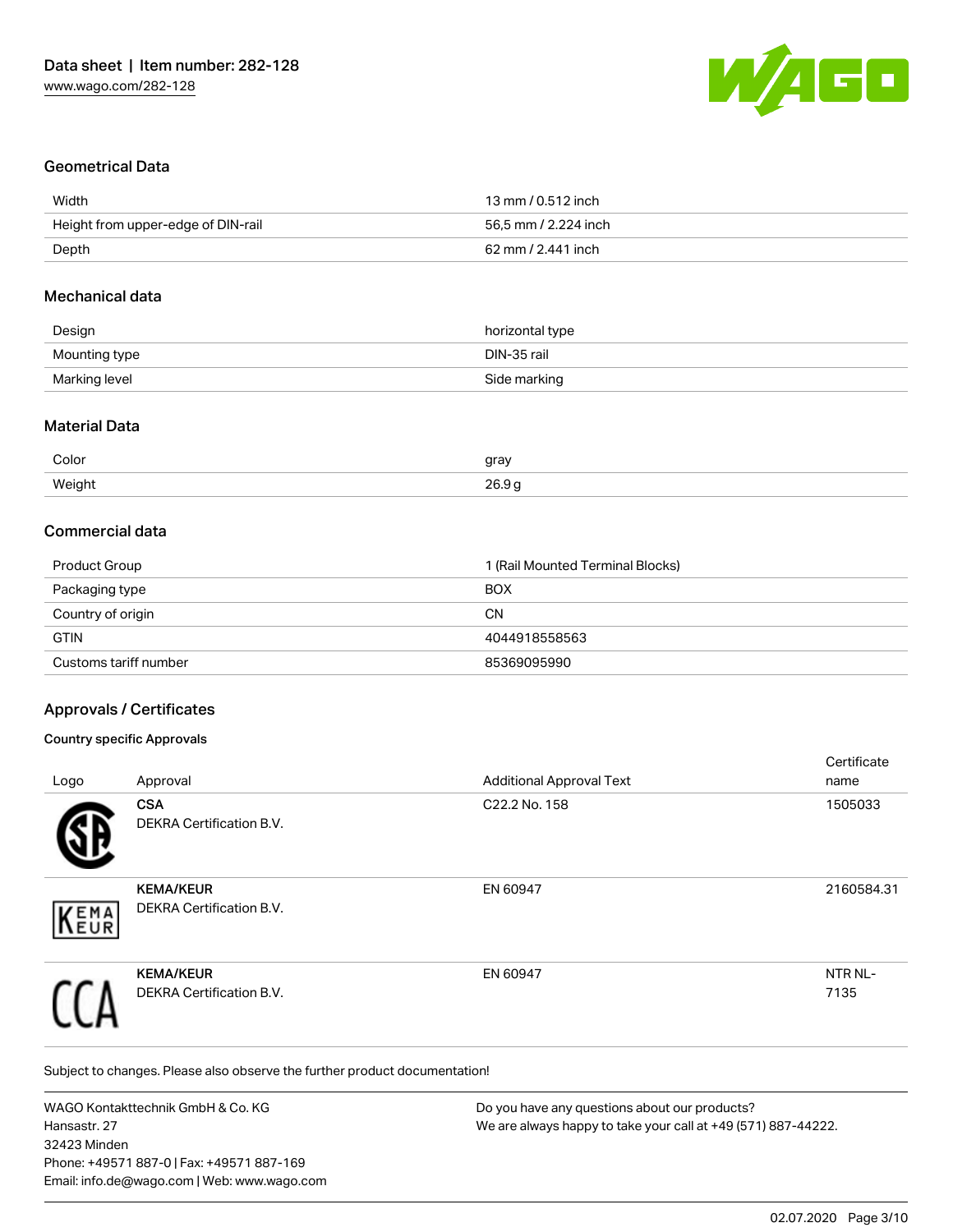

## Geometrical Data

| Width                              | 13 mm / 0.512 inch   |
|------------------------------------|----------------------|
| Height from upper-edge of DIN-rail | 56.5 mm / 2.224 inch |
| Depth                              | 62 mm / 2.441 inch   |

### Mechanical data

| Design        | horizontal type |
|---------------|-----------------|
| Mounting type | DIN-35 rail     |
| Marking level | Side marking    |

#### Material Data

| Color  | gray          |
|--------|---------------|
| Weight | 2690          |
| .      | $\sim$ $\sim$ |

# Commercial data

| Product Group         | 1 (Rail Mounted Terminal Blocks) |
|-----------------------|----------------------------------|
| Packaging type        | <b>BOX</b>                       |
| Country of origin     | CΝ                               |
| <b>GTIN</b>           | 4044918558563                    |
| Customs tariff number | 85369095990                      |

# Approvals / Certificates

#### Country specific Approvals

| Logo              | Approval                                     | <b>Additional Approval Text</b> | Certificate<br>name |
|-------------------|----------------------------------------------|---------------------------------|---------------------|
|                   | <b>CSA</b><br>DEKRA Certification B.V.       | C22.2 No. 158                   | 1505033             |
| <b>EMA</b><br>EUR | <b>KEMA/KEUR</b><br>DEKRA Certification B.V. | EN 60947                        | 2160584.31          |
|                   | <b>KEMA/KEUR</b><br>DEKRA Certification B.V. | EN 60947                        | NTR NL-<br>7135     |

Subject to changes. Please also observe the further product documentation!

WAGO Kontakttechnik GmbH & Co. KG Hansastr. 27 32423 Minden Phone: +49571 887-0 | Fax: +49571 887-169 Email: info.de@wago.com | Web: www.wago.com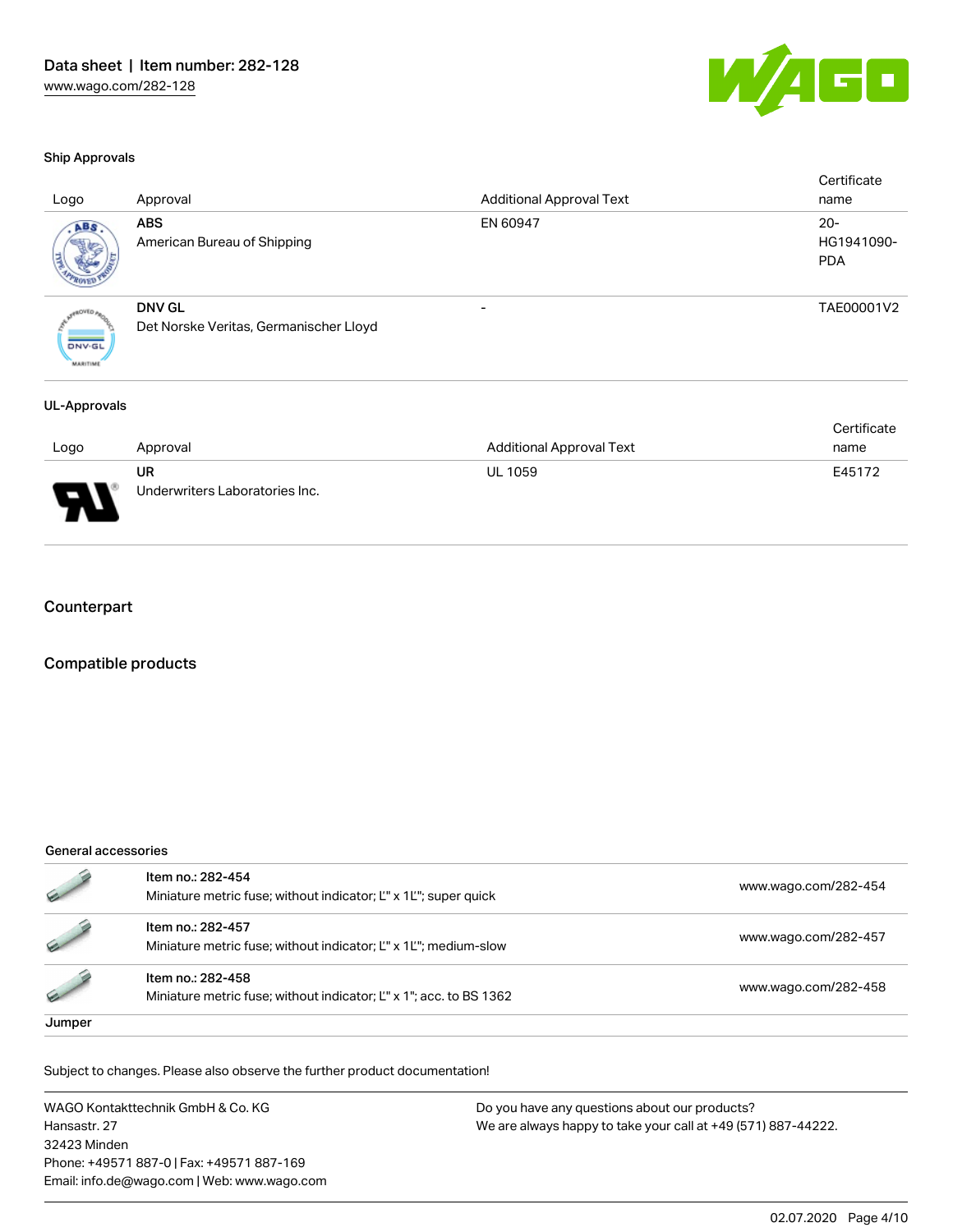

#### Ship Approvals

| Logo                             | Approval                                                | <b>Additional Approval Text</b> | Certificate<br>name                |
|----------------------------------|---------------------------------------------------------|---------------------------------|------------------------------------|
| ABS.                             | <b>ABS</b><br>American Bureau of Shipping               | EN 60947                        | $20 -$<br>HG1941090-<br><b>PDA</b> |
| <b>DNV-GL</b><br><b>MARITIME</b> | <b>DNV GL</b><br>Det Norske Veritas, Germanischer Lloyd | $\overline{\phantom{0}}$        | TAE00001V2                         |
| UL-Approvals                     |                                                         |                                 |                                    |

|             |                                |                          | Certificate |
|-------------|--------------------------------|--------------------------|-------------|
| Logo        | Approval                       | Additional Approval Text | name        |
|             | UR                             | <b>UL 1059</b>           | E45172      |
| W<br>$\Box$ | Underwriters Laboratories Inc. |                          |             |

### **Counterpart**

### Compatible products

#### General accessories

|        | Item no.: 282-454<br>Miniature metric fuse; without indicator; L'' x 1L''; super quick   | www.wago.com/282-454 |
|--------|------------------------------------------------------------------------------------------|----------------------|
|        | Item no.: 282-457<br>Miniature metric fuse; without indicator; L" x 1L"; medium-slow     | www.wago.com/282-457 |
|        | Item no.: 282-458<br>Miniature metric fuse; without indicator; L'' x 1"; acc. to BS 1362 | www.wago.com/282-458 |
| Jumper |                                                                                          |                      |

Subject to changes. Please also observe the further product documentation!

WAGO Kontakttechnik GmbH & Co. KG Hansastr. 27 32423 Minden Phone: +49571 887-0 | Fax: +49571 887-169 Email: info.de@wago.com | Web: www.wago.com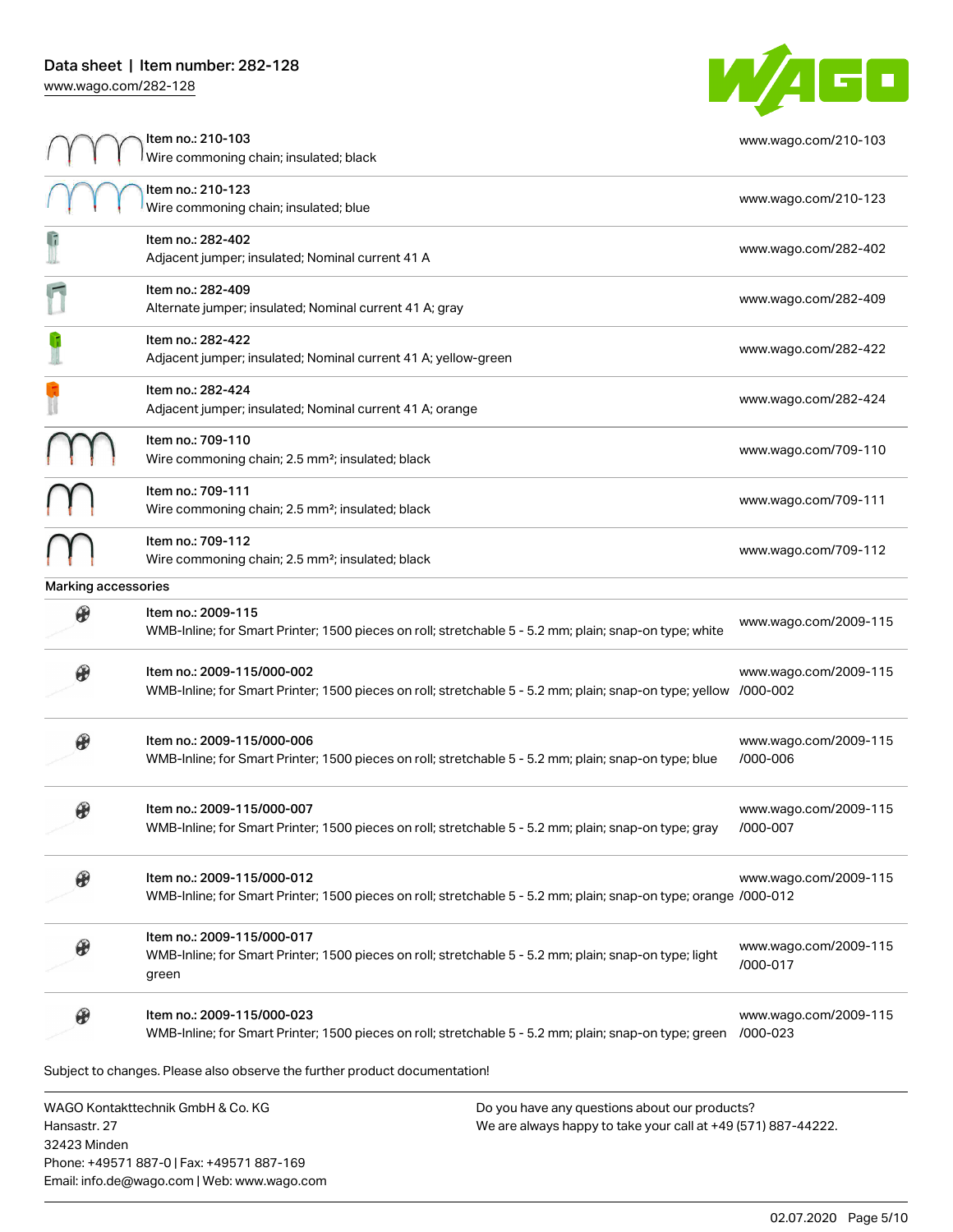32423 Minden

Phone: +49571 887-0 | Fax: +49571 887-169 Email: info.de@wago.com | Web: www.wago.com



|                       | ltem no.: 210-103<br>Wire commoning chain; insulated; black                                                                                    |                                                                                                                | www.wago.com/210-103              |
|-----------------------|------------------------------------------------------------------------------------------------------------------------------------------------|----------------------------------------------------------------------------------------------------------------|-----------------------------------|
|                       | Item no.: 210-123<br>Wire commoning chain; insulated; blue                                                                                     |                                                                                                                | www.wago.com/210-123              |
| G                     | Item no.: 282-402<br>Adjacent jumper; insulated; Nominal current 41 A                                                                          |                                                                                                                | www.wago.com/282-402              |
|                       | Item no.: 282-409<br>Alternate jumper; insulated; Nominal current 41 A; gray                                                                   |                                                                                                                | www.wago.com/282-409              |
|                       | Item no.: 282-422<br>Adjacent jumper; insulated; Nominal current 41 A; yellow-green                                                            |                                                                                                                | www.wago.com/282-422              |
|                       | Item no.: 282-424<br>Adjacent jumper; insulated; Nominal current 41 A; orange                                                                  |                                                                                                                | www.wago.com/282-424              |
|                       | Item no.: 709-110<br>Wire commoning chain; 2.5 mm <sup>2</sup> ; insulated; black                                                              |                                                                                                                | www.wago.com/709-110              |
|                       | Item no.: 709-111<br>Wire commoning chain; 2.5 mm <sup>2</sup> ; insulated; black                                                              |                                                                                                                | www.wago.com/709-111              |
|                       | Item no.: 709-112<br>Wire commoning chain; 2.5 mm <sup>2</sup> ; insulated; black                                                              |                                                                                                                | www.wago.com/709-112              |
| Marking accessories   |                                                                                                                                                |                                                                                                                |                                   |
| $\mathcal C$          | Item no.: 2009-115<br>WMB-Inline; for Smart Printer; 1500 pieces on roll; stretchable 5 - 5.2 mm; plain; snap-on type; white                   |                                                                                                                | www.wago.com/2009-115             |
|                       | Item no.: 2009-115/000-002<br>WMB-Inline; for Smart Printer; 1500 pieces on roll; stretchable 5 - 5.2 mm; plain; snap-on type; yellow /000-002 |                                                                                                                | www.wago.com/2009-115             |
|                       | Item no.: 2009-115/000-006<br>WMB-Inline; for Smart Printer; 1500 pieces on roll; stretchable 5 - 5.2 mm; plain; snap-on type; blue            |                                                                                                                | www.wago.com/2009-115<br>/000-006 |
|                       | Item no.: 2009-115/000-007<br>WMB-Inline; for Smart Printer; 1500 pieces on roll; stretchable 5 - 5.2 mm; plain; snap-on type; gray            |                                                                                                                | www.wago.com/2009-115<br>/000-007 |
| $\circledast$         | Item no.: 2009-115/000-012<br>WMB-Inline; for Smart Printer; 1500 pieces on roll; stretchable 5 - 5.2 mm; plain; snap-on type; orange /000-012 |                                                                                                                | www.wago.com/2009-115             |
|                       | Item no.: 2009-115/000-017<br>WMB-Inline; for Smart Printer; 1500 pieces on roll; stretchable 5 - 5.2 mm; plain; snap-on type; light<br>green  |                                                                                                                | www.wago.com/2009-115<br>/000-017 |
| $\boldsymbol{\theta}$ | Item no.: 2009-115/000-023<br>WMB-Inline; for Smart Printer; 1500 pieces on roll; stretchable 5 - 5.2 mm; plain; snap-on type; green /000-023  |                                                                                                                | www.wago.com/2009-115             |
|                       | Subject to changes. Please also observe the further product documentation!                                                                     |                                                                                                                |                                   |
| Hansastr. 27          | WAGO Kontakttechnik GmbH & Co. KG                                                                                                              | Do you have any questions about our products?<br>We are always happy to take your call at +49 (571) 887-44222. |                                   |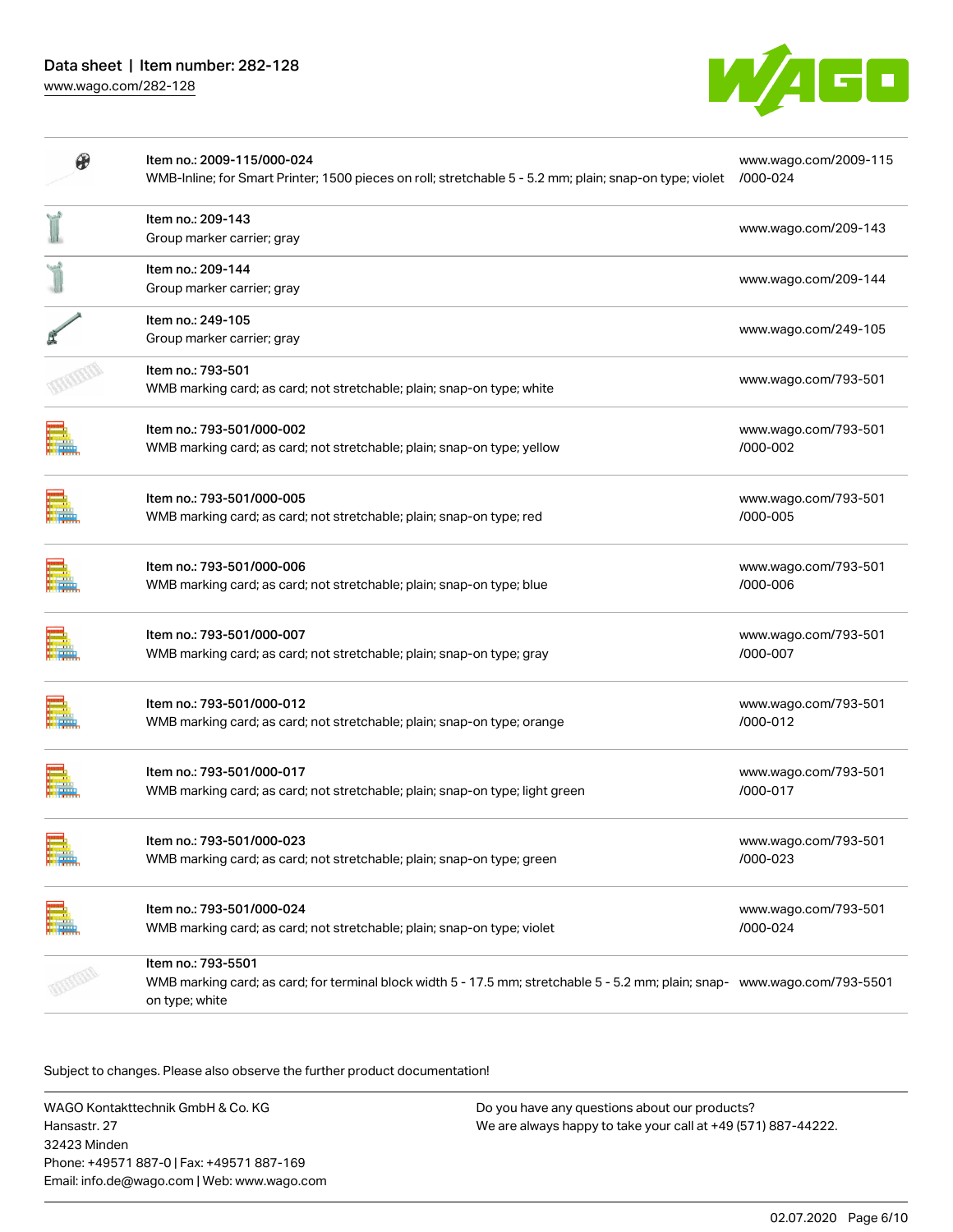

| Item no.: 2009-115/000-024<br>WMB-Inline; for Smart Printer; 1500 pieces on roll; stretchable 5 - 5.2 mm; plain; snap-on type; violet /000-024                      | www.wago.com/2009-115            |
|---------------------------------------------------------------------------------------------------------------------------------------------------------------------|----------------------------------|
| Item no.: 209-143<br>Group marker carrier; gray                                                                                                                     | www.wago.com/209-143             |
| Item no.: 209-144<br>Group marker carrier; gray                                                                                                                     | www.wago.com/209-144             |
| Item no.: 249-105<br>Group marker carrier; gray                                                                                                                     | www.wago.com/249-105             |
| Item no.: 793-501<br>WMB marking card; as card; not stretchable; plain; snap-on type; white                                                                         | www.wago.com/793-501             |
| Item no.: 793-501/000-002<br>WMB marking card; as card; not stretchable; plain; snap-on type; yellow                                                                | www.wago.com/793-501<br>/000-002 |
| Item no.: 793-501/000-005<br>WMB marking card; as card; not stretchable; plain; snap-on type; red                                                                   | www.wago.com/793-501<br>/000-005 |
| Item no.: 793-501/000-006<br>WMB marking card; as card; not stretchable; plain; snap-on type; blue                                                                  | www.wago.com/793-501<br>/000-006 |
| Item no.: 793-501/000-007<br>WMB marking card; as card; not stretchable; plain; snap-on type; gray                                                                  | www.wago.com/793-501<br>/000-007 |
| Item no.: 793-501/000-012<br>WMB marking card; as card; not stretchable; plain; snap-on type; orange                                                                | www.wago.com/793-501<br>/000-012 |
| Item no.: 793-501/000-017<br>WMB marking card; as card; not stretchable; plain; snap-on type; light green                                                           | www.wago.com/793-501<br>/000-017 |
| Item no.: 793-501/000-023<br>WMB marking card; as card; not stretchable; plain; snap-on type; green                                                                 | www.wago.com/793-501<br>/000-023 |
| Item no.: 793-501/000-024<br>WMB marking card; as card; not stretchable; plain; snap-on type; violet                                                                | www.wago.com/793-501<br>/000-024 |
| Item no.: 793-5501<br>WMB marking card; as card; for terminal block width 5 - 17.5 mm; stretchable 5 - 5.2 mm; plain; snap- www.wago.com/793-5501<br>on type; white |                                  |

Subject to changes. Please also observe the further product documentation!

WAGO Kontakttechnik GmbH & Co. KG Hansastr. 27 32423 Minden Phone: +49571 887-0 | Fax: +49571 887-169 Email: info.de@wago.com | Web: www.wago.com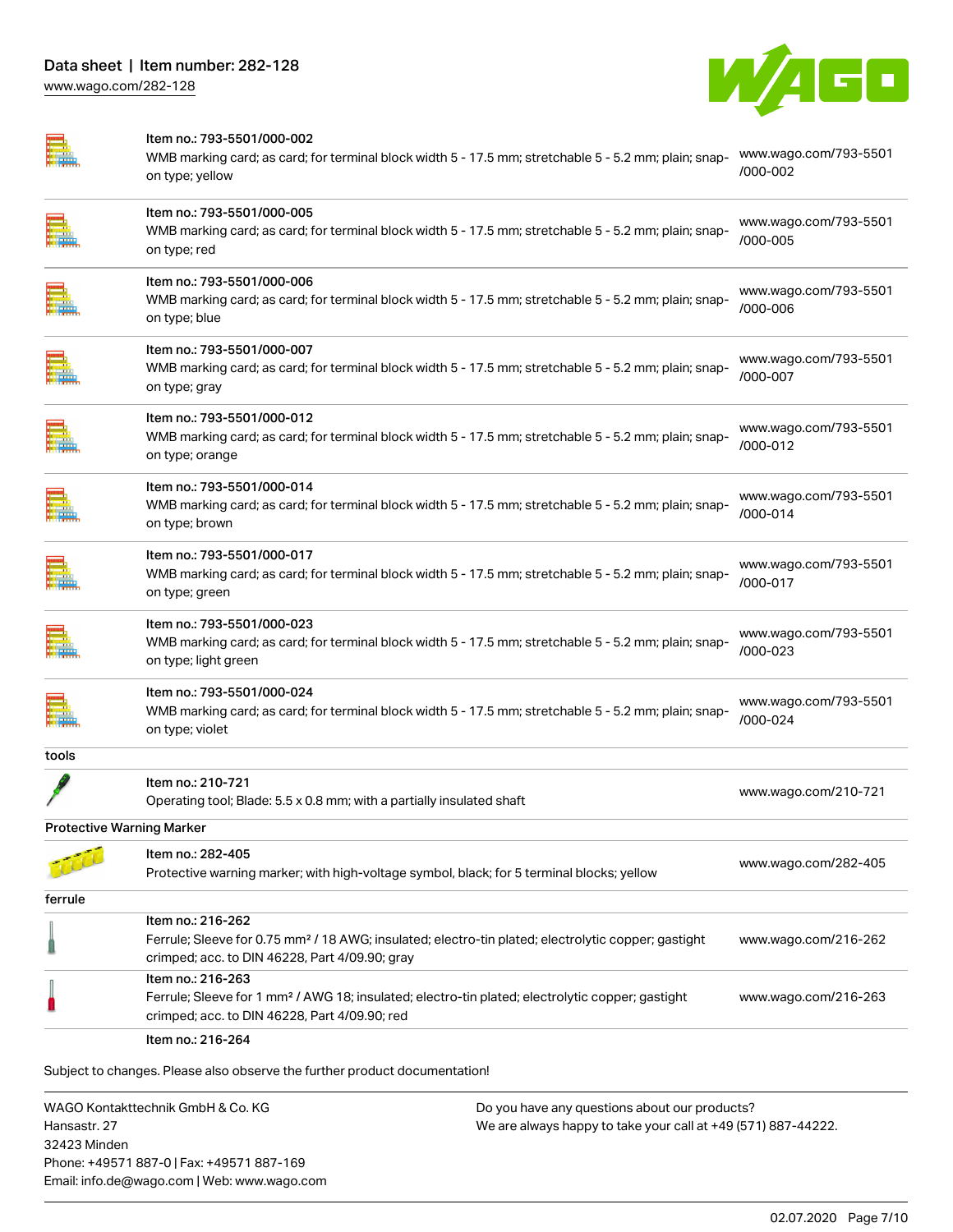

|                                  | Item no.: 793-5501/000-002<br>WMB marking card; as card; for terminal block width 5 - 17.5 mm; stretchable 5 - 5.2 mm; plain; snap-<br>on type; yellow                                 | www.wago.com/793-5501<br>/000-002     |
|----------------------------------|----------------------------------------------------------------------------------------------------------------------------------------------------------------------------------------|---------------------------------------|
|                                  | Item no.: 793-5501/000-005<br>WMB marking card; as card; for terminal block width 5 - 17.5 mm; stretchable 5 - 5.2 mm; plain; snap-<br>on type; red                                    | www.wago.com/793-5501<br>/000-005     |
|                                  | Item no.: 793-5501/000-006<br>WMB marking card; as card; for terminal block width 5 - 17.5 mm; stretchable 5 - 5.2 mm; plain; snap-<br>on type; blue                                   | www.wago.com/793-5501<br>/000-006     |
|                                  | Item no.: 793-5501/000-007<br>WMB marking card; as card; for terminal block width 5 - 17.5 mm; stretchable 5 - 5.2 mm; plain; snap-<br>on type; gray                                   | www.wago.com/793-5501<br>/000-007     |
|                                  | Item no.: 793-5501/000-012<br>WMB marking card; as card; for terminal block width 5 - 17.5 mm; stretchable 5 - 5.2 mm; plain; snap-<br>on type; orange                                 | www.wago.com/793-5501<br>$/000 - 012$ |
|                                  | Item no.: 793-5501/000-014<br>WMB marking card; as card; for terminal block width 5 - 17.5 mm; stretchable 5 - 5.2 mm; plain; snap-<br>on type; brown                                  | www.wago.com/793-5501<br>/000-014     |
|                                  | Item no.: 793-5501/000-017<br>WMB marking card; as card; for terminal block width 5 - 17.5 mm; stretchable 5 - 5.2 mm; plain; snap-<br>on type; green                                  | www.wago.com/793-5501<br>/000-017     |
|                                  | Item no.: 793-5501/000-023<br>WMB marking card; as card; for terminal block width 5 - 17.5 mm; stretchable 5 - 5.2 mm; plain; snap-<br>on type; light green                            | www.wago.com/793-5501<br>/000-023     |
|                                  | Item no.: 793-5501/000-024<br>WMB marking card; as card; for terminal block width 5 - 17.5 mm; stretchable 5 - 5.2 mm; plain; snap-<br>on type; violet                                 | www.wago.com/793-5501<br>/000-024     |
| tools                            |                                                                                                                                                                                        |                                       |
|                                  | Item no.: 210-721<br>Operating tool; Blade: 5.5 x 0.8 mm; with a partially insulated shaft                                                                                             | www.wago.com/210-721                  |
| <b>Protective Warning Marker</b> |                                                                                                                                                                                        |                                       |
|                                  | Item no.: 282-405<br>Protective warning marker; with high-voltage symbol, black; for 5 terminal blocks; yellow                                                                         | www.wago.com/282-405                  |
| ferrule                          |                                                                                                                                                                                        |                                       |
|                                  | Item no.: 216-262<br>Ferrule; Sleeve for 0.75 mm <sup>2</sup> / 18 AWG; insulated; electro-tin plated; electrolytic copper; gastight<br>crimped; acc. to DIN 46228, Part 4/09.90; gray | www.wago.com/216-262                  |
|                                  | Item no.: 216-263<br>Ferrule; Sleeve for 1 mm <sup>2</sup> / AWG 18; insulated; electro-tin plated; electrolytic copper; gastight<br>crimped; acc. to DIN 46228, Part 4/09.90; red     | www.wago.com/216-263                  |
|                                  | Item no.: 216-264                                                                                                                                                                      |                                       |
|                                  | Subject to changes. Please also observe the further product documentation!                                                                                                             |                                       |
|                                  | MAGO Kontakttechnik GmhH & Co KG<br>Do vou have any questions about our products?                                                                                                      |                                       |

WAGO Kontakttechnik GmbH & Co. KG Hansastr. 27 32423 Minden Phone: +49571 887-0 | Fax: +49571 887-169 Email: info.de@wago.com | Web: www.wago.com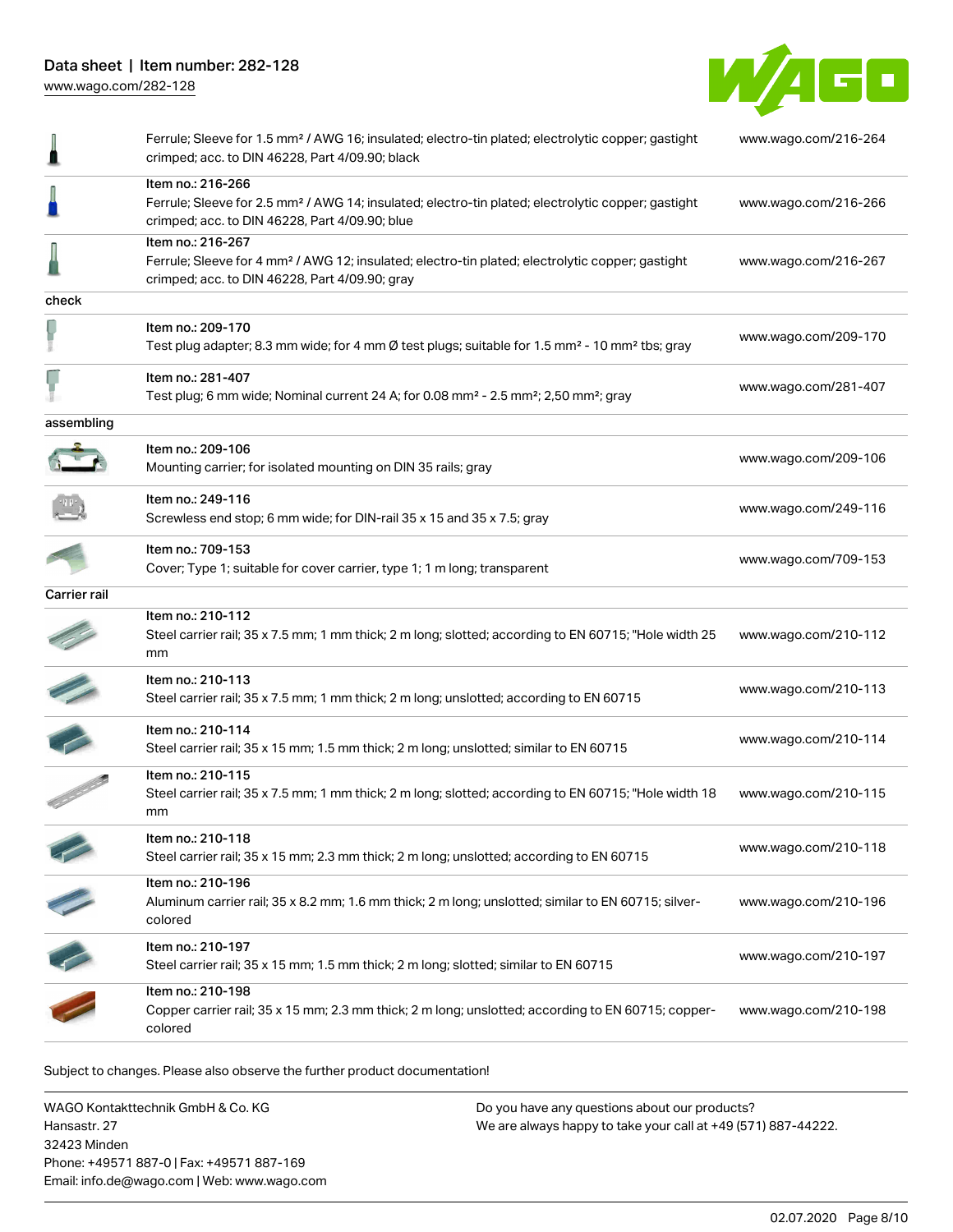Data sheet | Item number: 282-128 [www.wago.com/282-128](http://www.wago.com/282-128)



| ╽             | Ferrule; Sleeve for 1.5 mm <sup>2</sup> / AWG 16; insulated; electro-tin plated; electrolytic copper; gastight<br>crimped; acc. to DIN 46228, Part 4/09.90; black                     | www.wago.com/216-264 |
|---------------|---------------------------------------------------------------------------------------------------------------------------------------------------------------------------------------|----------------------|
| J             | Item no.: 216-266<br>Ferrule; Sleeve for 2.5 mm <sup>2</sup> / AWG 14; insulated; electro-tin plated; electrolytic copper; gastight<br>crimped; acc. to DIN 46228, Part 4/09.90; blue | www.wago.com/216-266 |
|               | Item no.: 216-267<br>Ferrule; Sleeve for 4 mm <sup>2</sup> / AWG 12; insulated; electro-tin plated; electrolytic copper; gastight<br>crimped; acc. to DIN 46228, Part 4/09.90; gray   | www.wago.com/216-267 |
| check         |                                                                                                                                                                                       |                      |
|               | Item no.: 209-170<br>Test plug adapter; 8.3 mm wide; for 4 mm Ø test plugs; suitable for 1.5 mm <sup>2</sup> - 10 mm <sup>2</sup> tbs; gray                                           | www.wago.com/209-170 |
| Ļ             | Item no.: 281-407<br>Test plug; 6 mm wide; Nominal current 24 A; for 0.08 mm <sup>2</sup> - 2.5 mm <sup>2</sup> ; 2,50 mm <sup>2</sup> ; gray                                         | www.wago.com/281-407 |
| assembling    |                                                                                                                                                                                       |                      |
|               | Item no.: 209-106<br>Mounting carrier; for isolated mounting on DIN 35 rails; gray                                                                                                    | www.wago.com/209-106 |
|               | Item no.: 249-116<br>Screwless end stop; 6 mm wide; for DIN-rail 35 x 15 and 35 x 7.5; gray                                                                                           | www.wago.com/249-116 |
|               | Item no.: 709-153<br>Cover; Type 1; suitable for cover carrier, type 1; 1 m long; transparent                                                                                         | www.wago.com/709-153 |
| Carrier rail  |                                                                                                                                                                                       |                      |
|               | Item no.: 210-112<br>Steel carrier rail; 35 x 7.5 mm; 1 mm thick; 2 m long; slotted; according to EN 60715; "Hole width 25<br>mm                                                      | www.wago.com/210-112 |
|               | Item no.: 210-113<br>Steel carrier rail; 35 x 7.5 mm; 1 mm thick; 2 m long; unslotted; according to EN 60715                                                                          | www.wago.com/210-113 |
|               | Item no.: 210-114<br>Steel carrier rail; 35 x 15 mm; 1.5 mm thick; 2 m long; unslotted; similar to EN 60715                                                                           | www.wago.com/210-114 |
|               | Item no.: 210-115<br>Steel carrier rail; 35 x 7.5 mm; 1 mm thick; 2 m long; slotted; according to EN 60715; "Hole width 18<br>mm                                                      | www.wago.com/210-115 |
|               | Item no.: 210-118<br>Steel carrier rail; 35 x 15 mm; 2.3 mm thick; 2 m long; unslotted; according to EN 60715                                                                         | www.wago.com/210-118 |
|               | Item no.: 210-196<br>Aluminum carrier rail; 35 x 8.2 mm; 1.6 mm thick; 2 m long; unslotted; similar to EN 60715; silver-<br>colored                                                   | www.wago.com/210-196 |
| $\mathcal{L}$ | Item no.: 210-197<br>Steel carrier rail; 35 x 15 mm; 1.5 mm thick; 2 m long; slotted; similar to EN 60715                                                                             | www.wago.com/210-197 |
|               | Item no.: 210-198<br>Copper carrier rail; 35 x 15 mm; 2.3 mm thick; 2 m long; unslotted; according to EN 60715; copper-<br>colored                                                    | www.wago.com/210-198 |

Subject to changes. Please also observe the further product documentation!

WAGO Kontakttechnik GmbH & Co. KG Hansastr. 27 32423 Minden Phone: +49571 887-0 | Fax: +49571 887-169 Email: info.de@wago.com | Web: www.wago.com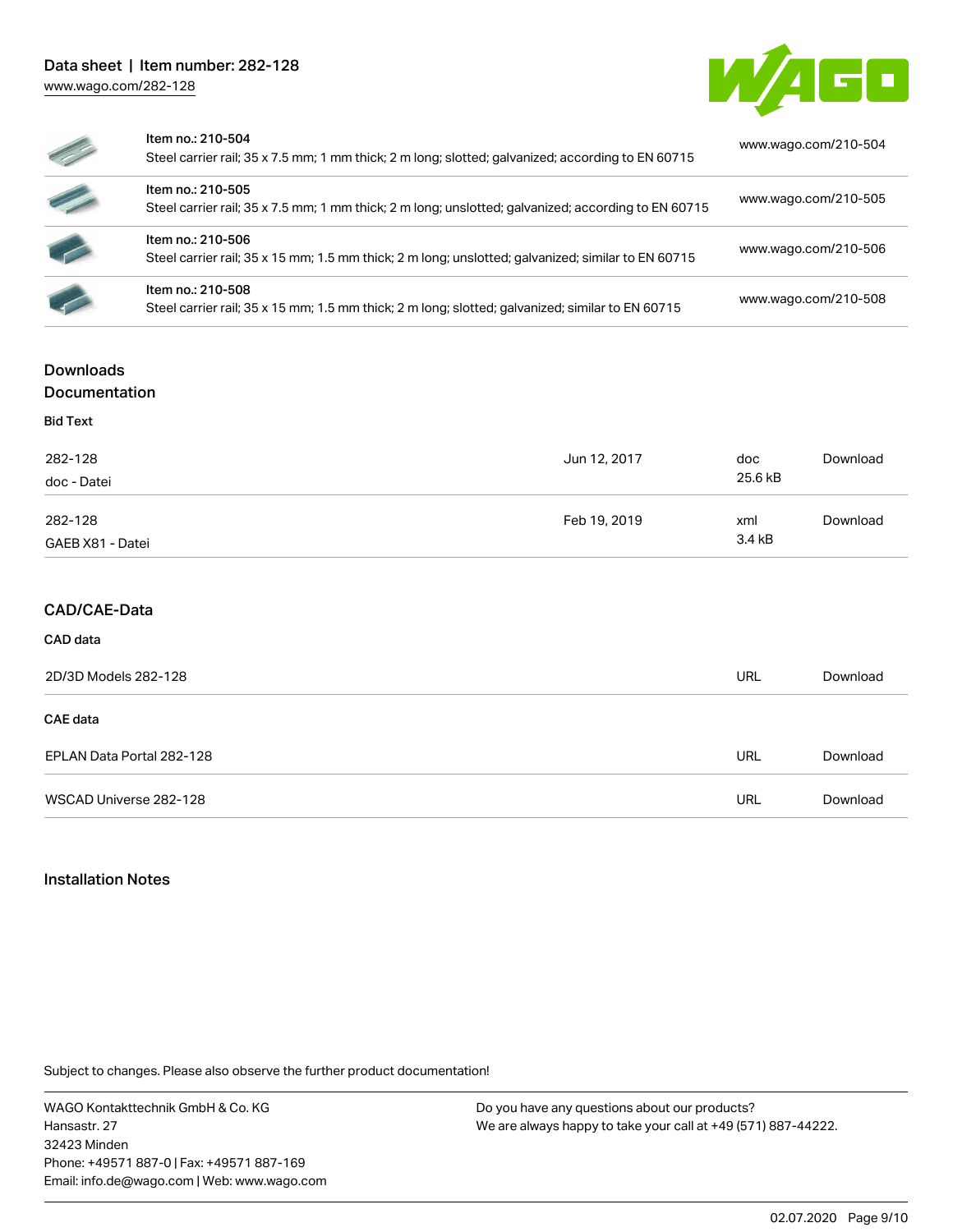

| Z,                       | Item no.: 210-504<br>Steel carrier rail; 35 x 7.5 mm; 1 mm thick; 2 m long; slotted; galvanized; according to EN 60715   | www.wago.com/210-504 |
|--------------------------|--------------------------------------------------------------------------------------------------------------------------|----------------------|
| $\epsilon$               | Item no.: 210-505<br>Steel carrier rail; 35 x 7.5 mm; 1 mm thick; 2 m long; unslotted; galvanized; according to EN 60715 | www.wago.com/210-505 |
| <b>CONTRACT</b>          | Item no.: 210-506<br>Steel carrier rail; 35 x 15 mm; 1.5 mm thick; 2 m long; unslotted; galvanized; similar to EN 60715  | www.wago.com/210-506 |
| $\overline{\mathscr{L}}$ | Item no.: 210-508<br>Steel carrier rail; 35 x 15 mm; 1.5 mm thick; 2 m long; slotted; galvanized; similar to EN 60715    | www.wago.com/210-508 |

## **Downloads**

Documentation

| <b>Bid Text</b>  |              |         |          |
|------------------|--------------|---------|----------|
| 282-128          | Jun 12, 2017 | doc     | Download |
| doc - Datei      |              | 25.6 kB |          |
| 282-128          | Feb 19, 2019 | xml     | Download |
| GAEB X81 - Datei |              | 3.4 kB  |          |

## CAD/CAE-Data

## CAD data

| 2D/3D Models 282-128      |     | Download |
|---------------------------|-----|----------|
| <b>CAE</b> data           |     |          |
| EPLAN Data Portal 282-128 | URL | Download |
| WSCAD Universe 282-128    | URL | Download |

### Installation Notes

Subject to changes. Please also observe the further product documentation!

WAGO Kontakttechnik GmbH & Co. KG Hansastr. 27 32423 Minden Phone: +49571 887-0 | Fax: +49571 887-169 Email: info.de@wago.com | Web: www.wago.com